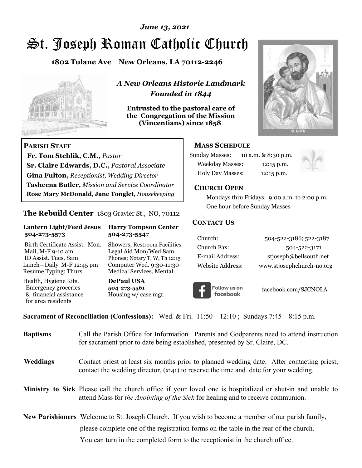# St. Joseph Roman Catholic Church *June 13, 2021*

**1802 Tulane Ave New Orleans, LA 70112-2246**



 **Fr. Tom Stehlik, C.M.,** *Pastor* 

**Sr. Claire Edwards, D.C.,** *Pastoral Associate* **Gina Fulton,** *Receptionist, Wedding Director* 

**Tasheena Butler,** *Mission and Service Coordinator* **Rose Mary McDonald**, **Jane Tonglet**, *Housekeeping*

**The Rebuild Center** 1803 Gravier St., NO, 70112

**Lantern Light/Feed Jesus Harry Tompson Center** 

Birth Certificate Assist. Mon. Showers, Restroom Facilities Mail, M-F 9-10 am Legal Aid Mon/Wed 8am ID Assist. Tues. 8am Phones; Notary T, W, Th 12:15 Lunch—Daily M-F 12:45 pm Computer Wed. 9:30-11:30 Resume Typing: Thurs. Medical Services, Mental

 **504-273-5573 504-273-5547** 

Health, Hygiene Kits, **DePaul USA**  Emergency groceries **504-273-5561**

& financial assistance Housing w/ case mgt.

**PARISH STAFF**

for area residents

*A New Orleans Historic Landmark Founded in 1844* 

**Entrusted to the pastoral care of the Congregation of the Mission (Vincentians) since 1858**.



#### **MASS SCHEDULE**

| <b>Sunday Masses:</b>  | 10 a.m. & 8:30 p.m. |
|------------------------|---------------------|
| <b>Weekday Masses:</b> | $12:15$ p.m.        |
| Holy Day Masses:       | 12:15 p.m.          |



#### **CHURCH OPEN**

 Mondays thru Fridays: 9:00 a.m. to 2:00 p.m. One hour before Sunday Masses

#### **CONTACT US**

| Church:          | 504-522-3186; 522-3187    |
|------------------|---------------------------|
| Church Fax:      | 504-522-3171              |
| E-mail Address:  | stjoseph@bellsouth.net    |
| Website Address: | www.stjosephchurch-no.org |



facebook.com/SJCNOLA

**Sacrament of Reconciliation (Confessions):** Wed. & Fri. 11:50—12:10 ; Sundays 7:45—8:15 p.m.

| <b>Baptisms</b> | Call the Parish Office for Information. Parents and Godparents need to attend instruction<br>for sacrament prior to date being established, presented by Sr. Claire, DC.                            |
|-----------------|-----------------------------------------------------------------------------------------------------------------------------------------------------------------------------------------------------|
| <b>Weddings</b> | Contact priest at least six months prior to planned wedding date. After contacting priest,<br>contact the wedding director, (x141) to reserve the time and date for your wedding.                   |
|                 | Ministry to Sick Please call the church office if your loved one is hospitalized or shut-in and unable to<br>attend Mass for <i>the Anointing of the Sick</i> for healing and to receive communion. |
|                 | <b>New Parishioners</b> Welcome to St. Joseph Church. If you wish to become a member of our parish family,                                                                                          |
|                 | please complete one of the registration forms on the table in the rear of the church.                                                                                                               |
|                 | You can turn in the completed form to the receptionist in the church office.                                                                                                                        |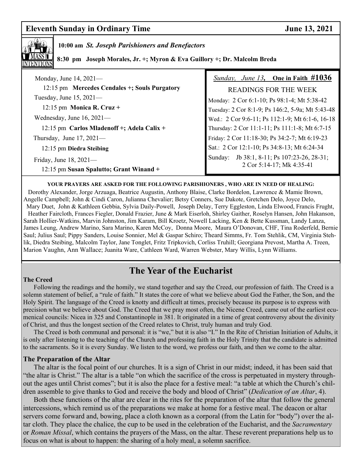### **Eleventh Sunday in Ordinary Time 3. 2021**



### **10:00 am** *St. Joseph Parishioners and Benefactors*

 **8:30 pm Joseph Morales, Jr. +; Myron & Eva Guillory +; Dr. Malcolm Breda** 

| Monday, June 14, 2021-                                            | <i>Sunday, June 13,</i> One in Faith $\#1036$                            |
|-------------------------------------------------------------------|--------------------------------------------------------------------------|
| 12:15 pm Mercedes Cendales +; Souls Purgatory                     | <b>READINGS FOR THE WEEK</b>                                             |
| Tuesday, June 15, 2021-                                           | Monday: 2 Cor 6:1-10; Ps 98:1-4; Mt 5:38-42                              |
| 12:15 pm Monica R. Cruz +                                         | Tuesday: 2 Cor 8:1-9; Ps 146:2, 5-9a; Mt 5:43-48                         |
| Wednesday, June 16, 2021-                                         | Wed.: 2 Cor 9:6-11; Ps 112:1-9; Mt 6:1-6, 16-18                          |
| 12:15 pm Carlos Mladenoff +; Adela Calix +                        | Thursday: 2 Cor 11:1-11; Ps 111:1-8; Mt 6:7-15                           |
| Thursday, June $17,2021$ —                                        | Friday: 2 Cor 11:18-30; Ps 34:2-7; Mt 6:19-23                            |
| 12:15 pm Diedra Steibing                                          | Sat.: 2 Cor 12:1-10; Ps 34:8-13; Mt 6:24-34                              |
| Friday, June 18, 2021-<br>12:15 pm Susan Spalutto; Grant Winand + | Sunday: Jb 38:1, 8-11; Ps 107:23-26, 28-31;<br>2 Cor 5:14-17; Mk 4:35-41 |

**YOUR PRAYERS ARE ASKED FOR THE FOLLOWING PARISHIONERS , WHO ARE IN NEED OF HEALING:** 

 Dorothy Alexander, Jorge Arzuaga, Beatrice Augustin, Anthony Blaise, Clarke Bordelon, Lawrence & Mamie Brown, Angelle Campbell; John & Cindi Caron, Julianna Chevalier; Betsy Conners, Sue Dakote, Gretchen Delo, Joyce Delo, Mary Duet, John & Kathleen Gebbia, Sylvia Daily-Powell, Joseph Delay, Terry Eggleston, Linda Elwood, Francis Frught, Heather Faircloth, Frances Fiegler, Donald Frazier, June & Mark Eiserloh, Shirley Gaither, Roselyn Hansen, John Hakanson, Sarah Hollier-Watkins, Marvin Johnston, Jim Karam, Bill Kroetz, Nowell Lacking, Ken & Bette Kussman, Landy Lanza, James Leung, Andrew Marino, Sara Marino, Karen McCoy, Donna Moore, Maura O'Donovan, CHF, Tina Roderfeld, Bernie Saul; Julius Saul; Pippy Sanders, Louise Sonnier, Mel & Gaspar Schiro; Theard Simms, Fr. Tom Stehlik, CM, Virginia Stehlik, Diedra Steibing, Malcolm Taylor, Jane Tonglet, Fritz Tripkovich, Corliss Truhill; Georgiana Prevost, Martha A. Treen, Marion Vaughn, Ann Wallace; Juanita Ware, Cathleen Ward, Warren Webster, Mary Willis, Lynn Williams.

# **The Year of the Eucharist**

#### **The Creed**

 Following the readings and the homily, we stand together and say the Creed, our profession of faith. The Creed is a solemn statement of belief, a "rule of faith." It states the core of what we believe about God the Father, the Son, and the Holy Spirit. The language of the Creed is knotty and difficult at times, precisely because its purpose is to express with precision what we believe about God. The Creed that we pray most often, the Nicene Creed, came out of the earliest ecumenical councils: Nicea in 325 and Constantinople in 381. It originated in a time of great controversy about the divinity of Christ, and thus the longest section of the Creed relates to Christ, truly human and truly God.

 The Creed is both communal and personal: it is "we," but it is also "I." In the Rite of Christian Initiation of Adults, it is only after listening to the teaching of the Church and professing faith in the Holy Trinity that the candidate is admitted to the sacraments. So it is every Sunday. We listen to the word, we profess our faith, and then we come to the altar.

#### **The Preparation of the Altar**

 The altar is the focal point of our churches. It is a sign of Christ in our midst; indeed, it has been said that "the altar is Christ." The altar is a table "on which the sacrifice of the cross is perpetuated in mystery throughout the ages until Christ comes"; but it is also the place for a festive meal: "a table at which the Church's children assemble to give thanks to God and receive the body and blood of Christ" (*Dedication of an Altar*, 4).

 Both these functions of the altar are clear in the rites for the preparation of the altar that follow the general intercessions, which remind us of the preparations we make at home for a festive meal. The deacon or altar servers come forward and, bowing, place a cloth known as a corporal (from the Latin for "body") over the altar cloth. They place the chalice, the cup to be used in the celebration of the Eucharist, and the *Sacramentary* or *Roman Missal*, which contains the prayers of the Mass, on the altar. These reverent preparations help us to focus on what is about to happen: the sharing of a holy meal, a solemn sacrifice.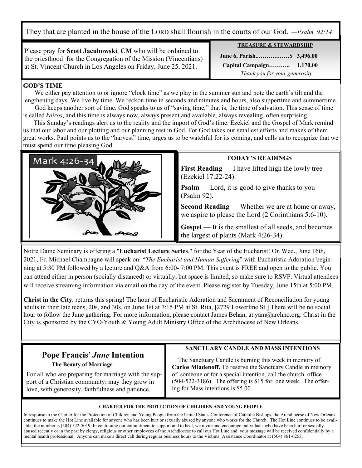They that are planted in the house of the LORD shall flourish in the courts of our God. *—Psalm 92:14*

Please pray for **Scott Jacubowski**, **CM** who will be ordained to the priesthood for the Congregation of the Mission (Vincentians) at St. Vincent Church in Los Angeles on Friday, June 25, 2021.

**TREASURE & STEWARDSHIP** 

 **June 6, Parish..……….……\$ 3,496.00** 

 **Capital Campaign……….. 1,170.00** *Thank you for your generosity*

#### **GOD'S TIME**

We either pay attention to or ignore "clock time" as we play in the summer sun and note the earth's tilt and the lengthening days. We live by time. We reckon time in seconds and minutes and hours, also suppertime and summertime. God keeps another sort of time. God speaks to us of "saving time," that is, the time of salvation. This sense of time

is called *kairos*, and this time is always now, always present and available, always revealing, often surprising. This Sunday's readings alert us to the reality and the import of God's time. Ezekiel and the Gospel of Mark remind

us that our labor and our plotting and our planning rest in God. For God takes our smallest efforts and makes of them great works. Paul points us to the "harvest" time, urges us to be watchful for its coming, and calls us to recognize that we must spend our time pleasing God.



#### **TODAY'S READINGS**

**First Reading** — I have lifted high the lowly tree (Ezekiel 17:22-24).

**Psalm** — Lord, it is good to give thanks to you (Psalm 92).

**Second Reading** — Whether we are at home or away, we aspire to please the Lord (2 Corinthians 5:6-10).

**Gospel** — It is the smallest of all seeds, and becomes the largest of plants (Mark 4:26-34).

Notre Dame Seminary is offering a "**Eucharist Lecture Series**." for the Year of the Eucharist! On Wed., June 16th, 2021, Fr. Michael Champagne will speak on: "*The Eucharist and Human Suffering*" with Eucharistic Adoration beginning at 5:30 PM followed by a lecture and Q&A from 6:00- 7:00 PM. This event is FREE and open to the public. You can attend either in person (socially distanced) or virtually, but space is limited, so make sure to RSVP. Virtual attendees will receive streaming information via email on the day of the event. Please register by Tuesday, June 15th at 5:00 PM.

**Christ in the City**, returns this spring! The hour of Eucharistic Adoration and Sacrament of Reconciliation for young adults in their late teens, 20s, and 30s, on June 1st at 7:15 PM at St. Rita, [2729 Lowerline St.] There will be no social hour to follow the June gathering. For more information, please contact James Behan, at yam@archno.org. Christ in the City is sponsored by the CYO/Youth & Young Adult Ministry Office of the Archdiocese of New Orleans.

# **Pope Francis'** *June* **Intention**

 **The Beauty of Marriage** 

 For all who are preparing for marriage with the sup port of a Christian community: may they grow in love, with generosity, faithfulness and patience.

**SANCTUARY CANDLE AND MASS INTENTIONS**

 The Sanctuary Candle is burning this week in memory of **Carlos Mladenoff.** To reserve the Sanctuary Candle in memory of someone or for a special intention, call the church office (504-522-3186). The offering is \$15 for one week. The offering for Mass intentions is \$5.00.

#### **CHARTER FOR THE PROTECTION OF CHILDREN AND YOUNG PEOPLE**

In response to the Charter for the Protection of Children and Young People from the United States Conference of Catholic Bishops, the Archdiocese of New Orleans continues to make the Hot Line available for anyone who has been hurt or sexually abused by anyone who works for the Church. The Hot Line continues to be available; the number is (504) 522-5019. In continuing our commitment to support and to heal, we invite and encourage individuals who have been hurt or sexually abused recently or in the past by clergy, religious or other employees of the Archdiocese to call our Hot Line and your message will be received confidentially by a mental health professional. Anyone can make a direct call during regular business hours to the Victims' Assistance Coordinator at (504) 861-6253.